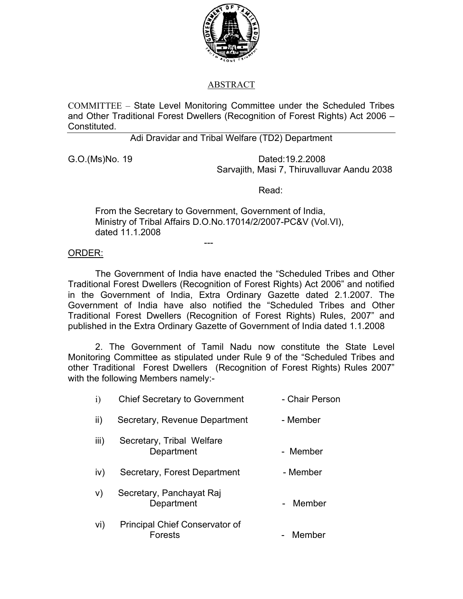

## ABSTRACT

COMMITTEE – State Level Monitoring Committee under the Scheduled Tribes and Other Traditional Forest Dwellers (Recognition of Forest Rights) Act 2006 – Constituted.

Adi Dravidar and Tribal Welfare (TD2) Department

G.O.(Ms)No. 19 Dated:19.2.2008 Sarvajith, Masi 7, Thiruvalluvar Aandu 2038

Read:

From the Secretary to Government, Government of India, Ministry of Tribal Affairs D.O.No.17014/2/2007-PC&V (Vol.VI), dated 11.1.2008

## ORDER:

---

 The Government of India have enacted the "Scheduled Tribes and Other Traditional Forest Dwellers (Recognition of Forest Rights) Act 2006" and notified in the Government of India, Extra Ordinary Gazette dated 2.1.2007. The Government of India have also notified the "Scheduled Tribes and Other Traditional Forest Dwellers (Recognition of Forest Rights) Rules, 2007" and published in the Extra Ordinary Gazette of Government of India dated 1.1.2008

 2. The Government of Tamil Nadu now constitute the State Level Monitoring Committee as stipulated under Rule 9 of the "Scheduled Tribes and other Traditional Forest Dwellers (Recognition of Forest Rights) Rules 2007" with the following Members namely:-

| i)   | <b>Chief Secretary to Government</b>                    | - Chair Person |
|------|---------------------------------------------------------|----------------|
| ii)  | Secretary, Revenue Department                           | - Member       |
| iii) | Secretary, Tribal Welfare<br>Department                 | - Member       |
| IV)  | Secretary, Forest Department                            | - Member       |
| V)   | Secretary, Panchayat Raj<br>Department                  | - Member       |
| Vİ)  | <b>Principal Chief Conservator of</b><br><b>Forests</b> | Member         |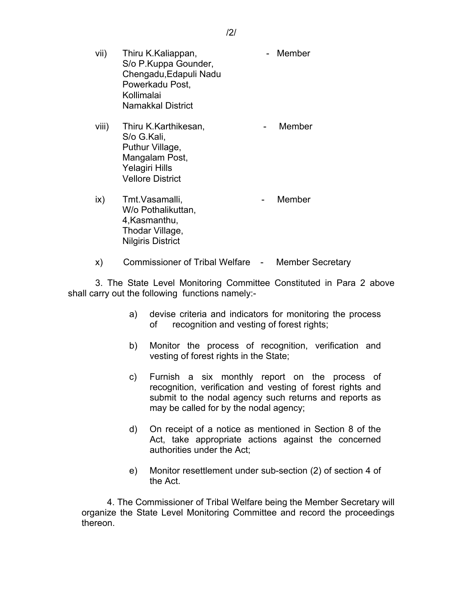- vii) Thiru K.Kaliappan, Thiru K.Kaliappan, Thiru K.Kaliappan, Thiru Member S/o P.Kuppa Gounder, Chengadu,Edapuli Nadu Powerkadu Post, Kollimalai Namakkal District
- viii) Thiru K.Karthikesan, Thiru K.Karthikesan, Thiru Shahar Member S/o G.Kali, Puthur Village, Mangalam Post, Yelagiri Hills Vellore District
- ix) Tmt.Vasamalli, etc. and Tmt.Vasamalli, W/o Pothalikuttan, 4,Kasmanthu, Thodar Village, Nilgiris District
- x) Commissioner of Tribal Welfare Member Secretary

 3. The State Level Monitoring Committee Constituted in Para 2 above shall carry out the following functions namely:-

- a) devise criteria and indicators for monitoring the process of recognition and vesting of forest rights;
- b) Monitor the process of recognition, verification and vesting of forest rights in the State;
- c) Furnish a six monthly report on the process of recognition, verification and vesting of forest rights and submit to the nodal agency such returns and reports as may be called for by the nodal agency;
- d) On receipt of a notice as mentioned in Section 8 of the Act, take appropriate actions against the concerned authorities under the Act;
- e) Monitor resettlement under sub-section (2) of section 4 of the Act.

 4. The Commissioner of Tribal Welfare being the Member Secretary will organize the State Level Monitoring Committee and record the proceedings thereon.